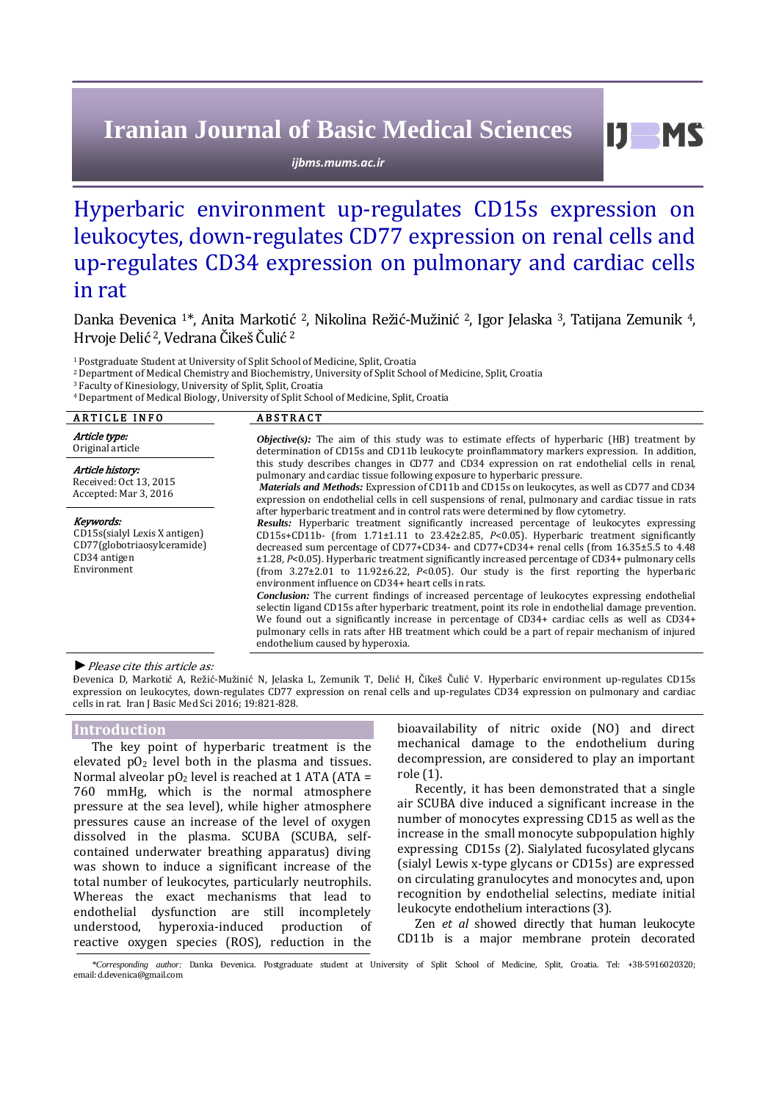# **Iranian Journal of Basic Medical Sciences**

*ijbms.mums.ac.ir*

## Hyperbaric environment up-regulates CD15s expression on leukocytes, down-regulates CD77 expression on renal cells and up-regulates CD34 expression on pulmonary and cardiac cells in rat

Danka Đevenica 1\*, Anita Markotić 2, Nikolina Režić-Mužinić 2, Igor Jelaska 3, Tatijana Zemunik 4, Hrvoje Delić <sup>2</sup>, Vedrana Čikeš Čulić <sup>2</sup>

<sup>1</sup>Postgraduate Student at University of Split School of Medicine, Split, Croatia

<sup>2</sup>Department of Medical Chemistry and Biochemistry, University of Split School of Medicine, Split, Croatia

<sup>3</sup> Faculty of Kinesiology, University of Split, Split, Croatia

<sup>4</sup>Department of Medical Biology, University of Split School of Medicine, Split, Croatia

| <b>ARTICLE INFO</b>                                                                                      | <b>ABSTRACT</b>                                                                                                                                                                                                                                                                                                                                                                                                                                                                                                                                                                                                                                                                                                                                                                                                                                                                                                                                                                                                                                                                                 |  |  |  |
|----------------------------------------------------------------------------------------------------------|-------------------------------------------------------------------------------------------------------------------------------------------------------------------------------------------------------------------------------------------------------------------------------------------------------------------------------------------------------------------------------------------------------------------------------------------------------------------------------------------------------------------------------------------------------------------------------------------------------------------------------------------------------------------------------------------------------------------------------------------------------------------------------------------------------------------------------------------------------------------------------------------------------------------------------------------------------------------------------------------------------------------------------------------------------------------------------------------------|--|--|--|
| Article type:<br>Original article                                                                        | <b><i>Objective(s)</i></b> : The aim of this study was to estimate effects of hyperbaric (HB) treatment by<br>determination of CD15s and CD11b leukocyte proinflammatory markers expression. In addition,                                                                                                                                                                                                                                                                                                                                                                                                                                                                                                                                                                                                                                                                                                                                                                                                                                                                                       |  |  |  |
| Article history:<br>Received: Oct 13, 2015<br>Accepted: Mar 3, 2016                                      | this study describes changes in CD77 and CD34 expression on rat endothelial cells in renal,<br>pulmonary and cardiac tissue following exposure to hyperbaric pressure.<br>Materials and Methods: Expression of CD11b and CD15s on leukocytes, as well as CD77 and CD34<br>expression on endothelial cells in cell suspensions of renal, pulmonary and cardiac tissue in rats                                                                                                                                                                                                                                                                                                                                                                                                                                                                                                                                                                                                                                                                                                                    |  |  |  |
| Keywords:<br>CD15s(sialyl Lexis X antigen)<br>CD77(globotriaosylceramide)<br>CD34 antigen<br>Environment | after hyperbaric treatment and in control rats were determined by flow cytometry.<br>Results: Hyperbaric treatment significantly increased percentage of leukocytes expressing<br>CD15s+CD11b- (from 1.71±1.11 to 23.42±2.85, P<0.05). Hyperbaric treatment significantly<br>decreased sum percentage of CD77+CD34- and CD77+CD34+ renal cells (from 16.35±5.5 to 4.48)<br>$\pm$ 1.28, P<0.05). Hyperbaric treatment significantly increased percentage of CD34+ pulmonary cells<br>(from $3.27\pm2.01$ to $11.92\pm6.22$ , P<0.05). Our study is the first reporting the hyperbaric<br>environment influence on CD34+ heart cells in rats.<br><i>Conclusion:</i> The current findings of increased percentage of leukocytes expressing endothelial<br>selectin ligand CD15s after hyperbaric treatment, point its role in endothelial damage prevention.<br>We found out a significantly increase in percentage of CD34+ cardiac cells as well as CD34+<br>pulmonary cells in rats after HB treatment which could be a part of repair mechanism of injured<br>endothelium caused by hyperoxia. |  |  |  |

#### *►*Please cite this article as:

Đevenica D, Markotić A, Režić-Mužinić N, Jelaska L, Zemunik T, Delić H, Čikeš Čulić V. Hyperbaric environment up-regulates CD15s expression on leukocytes, down-regulates CD77 expression on renal cells and up-regulates CD34 expression on pulmonary and cardiac cells in rat. Iran J Basic Med Sci 2016; 19:821-828.

### **Introduction**

The key point of hyperbaric treatment is the elevated  $pO<sub>2</sub>$  level both in the plasma and tissues. Normal alveolar  $pO_2$  level is reached at 1 ATA (ATA = 760 mmHg, which is the normal atmosphere pressure at the sea level), while higher atmosphere pressures cause an increase of the level of oxygen dissolved in the plasma. SCUBA (SCUBA, selfcontained underwater breathing apparatus) diving was shown to induce a significant increase of the total number of leukocytes, particularly neutrophils. Whereas the exact mechanisms that lead to endothelial dysfunction are still incompletely understood, hyperoxia-induced production of reactive oxygen species (ROS), reduction in the bioavailability of nitric oxide (NO) and direct mechanical damage to the endothelium during decompression, are considered to play an important role [\(1\)](#page-5-0).

Recently, it has been demonstrated that a single air SCUBA dive induced a significant increase in the number of monocytes expressing CD15 as well as the increase in the small monocyte subpopulation highly expressing CD15s [\(2\)](#page-5-1). Sialylated fucosylated glycans (sialyl Lewis x-type glycans or CD15s) are expressed on circulating granulocytes and monocytes and, upon recognition by endothelial selectins, mediate initial leukocyte endothelium interactions (3).

Zen *et al* showed directly that human leukocyte CD11b is a major membrane protein decorated

*<sup>\*</sup>Corresponding author:* Danka Đevenica. Postgraduate student at University of Split School of Medicine, Split, Croatia. Tel: +38-5916020320; email[: d.devenica@gmail.com](mailto:d.devenica@gmail.com)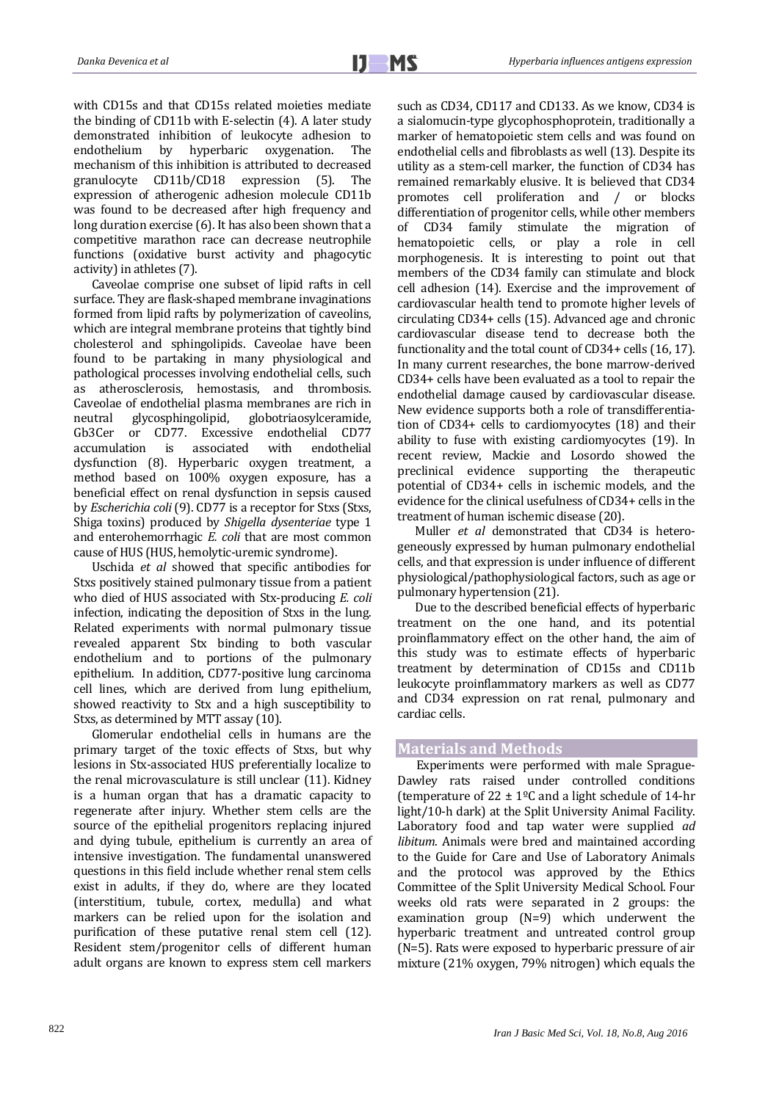with CD15s and that CD15s related moieties mediate the binding of CD11b with E-selectin [\(4\)](#page-6-0). A later study demonstrated inhibition of leukocyte adhesion to endothelium by hyperbaric oxygenation. The endothelium by hyperbaric oxygenation. The mechanism of this inhibition is attributed to decreased granulocyte CD11b/CD18 expression [\(5\)](#page-6-1). The expression of atherogenic adhesion molecule CD11b was found to be decreased after high frequency and long duration exercise [\(6\)](#page-6-2). It has also been shown that a competitive marathon race can decrease neutrophile functions (oxidative burst activity and phagocytic activity) in athletes [\(7\)](#page-6-3).

Caveolae comprise one subset of lipid rafts in cell surface. They are flask-shaped membrane invaginations formed from lipid rafts by polymerization of caveolins, which are integral membrane proteins that tightly bind cholesterol and sphingolipids. Caveolae have been found to be partaking in many physiological and pathological processes involving endothelial cells, such as atherosclerosis, hemostasis, and thrombosis. Caveolae of endothelial plasma membranes are rich in neutral glycosphingolipid, globotriaosylceramide, Gb3Cer or CD77. Excessive endothelial CD77 accumulation is associated with endothelial dysfunction [\(8\)](#page-6-4). Hyperbaric oxygen treatment, a method based on 100% oxygen exposure, has a beneficial effect on renal dysfunction in sepsis caused by *Escherichia coli* [\(9\)](#page-6-5). CD77 is a receptor for Stxs (Stxs, Shiga toxins) produced by *Shigella dysenteriae* type 1 and enterohemorrhagic *E. coli* that are most common cause of HUS (HUS, hemolytic-uremic syndrome).

Uschida *et al* showed that specific antibodies for Stxs positively stained pulmonary tissue from a patient who died of HUS associated with Stx-producing *E. coli* infection, indicating the deposition of Stxs in the lung. Related experiments with normal pulmonary tissue revealed apparent Stx binding to both vascular endothelium and to portions of the pulmonary epithelium. In addition, CD77-positive lung carcinoma cell lines, which are derived from lung epithelium, showed reactivity to Stx and a high susceptibility to Stxs, as determined by MTT assay [\(10\)](#page-6-6).

Glomerular endothelial cells in humans are the primary target of the toxic effects of Stxs, but why lesions in Stx-associated HUS preferentially localize to the renal microvasculature is still unclear [\(11\)](#page-6-7). Kidney is a human organ that has a dramatic capacity to regenerate after injury. Whether stem cells are the source of the epithelial progenitors replacing injured and dying tubule, epithelium is currently an area of intensive investigation. The fundamental unanswered questions in this field include whether renal stem cells exist in adults, if they do, where are they located (interstitium, tubule, cortex, medulla) and what markers can be relied upon for the isolation and purification of these putative renal stem cell [\(12\)](#page-6-8). Resident stem/progenitor cells of different human adult organs are known to express stem cell markers such as CD34, CD117 and CD133. As we know, CD34 is a sialomucin-type glycophosphoprotein, traditionally a marker of hematopoietic stem cells and was found on endothelial cells and fibroblasts as well [\(13\)](#page-6-9). Despite its utility as a stem-cell marker, the function of CD34 has remained remarkably elusive. It is believed that CD34 promotes cell proliferation and / or blocks differentiation of progenitor cells, while other members of CD34 family stimulate the migration of hematopoietic cells, or play a role in cell morphogenesis. It is interesting to point out that members of the CD34 family can stimulate and block cell adhesion [\(14\)](#page-6-10). Exercise and the improvement of cardiovascular health tend to promote higher levels of circulating CD34+ cells [\(15\)](#page-6-11). Advanced age and chronic cardiovascular disease tend to decrease both the functionality and the total count of CD34+ cells [\(16,](#page-6-12) [17\)](#page-6-13). In many current researches, the bone marrow-derived CD34+ cells have been evaluated as a tool to repair the endothelial damage caused by cardiovascular disease. New evidence supports both a role of transdifferentiation of CD34+ cells to cardiomyocytes [\(18\)](#page-6-14) and their ability to fuse with existing cardiomyocytes [\(19\)](#page-6-15). In recent review, Mackie and Losordo showed the preclinical evidence supporting the therapeutic potential of CD34+ cells in ischemic models, and the evidence for the clinical usefulness of CD34+ cells in the treatment of human ischemic disease [\(20\)](#page-6-16).

Muller *et al* demonstrated that CD34 is heterogeneously expressed by human pulmonary endothelial cells, and that expression is under influence of different physiological/pathophysiological factors, such as age or pulmonary hypertension [\(21\)](#page-6-17).

Due to the described beneficial effects of hyperbaric treatment on the one hand, and its potential proinflammatory effect on the other hand, the aim of this study was to estimate effects of hyperbaric treatment by determination of CD15s and CD11b leukocyte proinflammatory markers as well as CD77 and CD34 expression on rat renal, pulmonary and cardiac cells.

## **Materials and Methods**

Experiments were performed with male Sprague-Dawley rats raised under controlled conditions (temperature of  $22 \pm 1$ <sup>o</sup>C and a light schedule of 14-hr light/10-h dark) at the Split University Animal Facility. Laboratory food and tap water were supplied *ad libitum*. Animals were bred and maintained according to the Guide for Care and Use of Laboratory Animals and the protocol was approved by the Ethics Committee of the Split University Medical School. Four weeks old rats were separated in 2 groups: the examination group (N=9) which underwent the hyperbaric treatment and untreated control group (N=5). Rats were exposed to hyperbaric pressure of air mixture (21% oxygen, 79% nitrogen) which equals the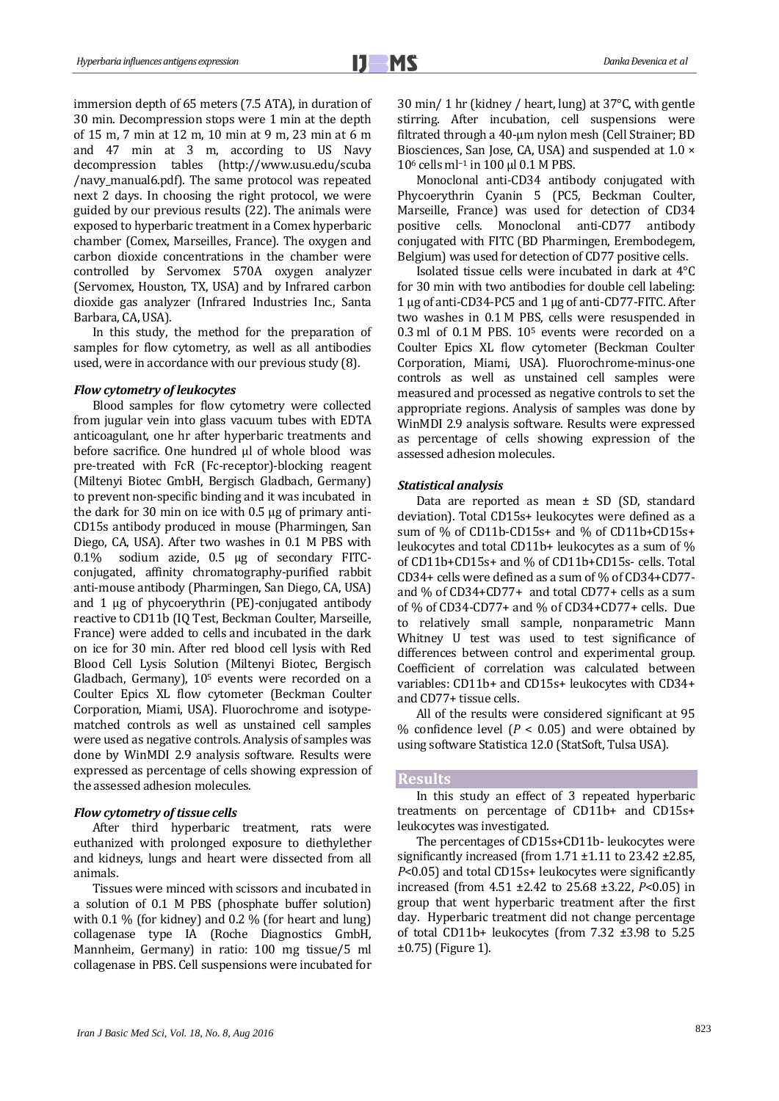immersion depth of 65 meters (7.5 ATA), in duration of 30 min. Decompression stops were 1 min at the depth of 15 m, 7 min at 12 m, 10 min at 9 m, 23 min at 6 m and 47 min at 3 m, according to US Navy decompression tables [\(http://www.usu.edu/scuba](http://www.usu.edu/scuba) /navy\_manual6.pdf). The same protocol was repeated next 2 days. In choosing the right protocol, we were guided by our previous results [\(22\)](#page-6-18). The animals were exposed to hyperbaric treatment in a Comex hyperbaric chamber (Comex, Marseilles, France). The oxygen and carbon dioxide concentrations in the chamber were controlled by Servomex 570A oxygen analyzer (Servomex, Houston, TX, USA) and by Infrared carbon dioxide gas analyzer (Infrared Industries Inc., Santa Barbara, CA, USA).

In this study, the method for the preparation of samples for flow cytometry, as well as all antibodies used, were in accordance with our previous study [\(8\)](#page-6-4).

#### *Flow cytometry of leukocytes*

Blood samples for flow cytometry were collected from jugular vein into glass vacuum tubes with EDTA anticoagulant, one hr after hyperbaric treatments and before sacrifice. One hundred µl of whole blood was pre-treated with FcR (Fc-receptor)-blocking reagent (Miltenyi Biotec GmbH, Bergisch Gladbach, Germany) to prevent non-specific binding and it was incubated in the dark for 30 min on ice with 0.5 µg of primary anti-CD15s antibody produced in mouse (Pharmingen, San Diego, CA, USA). After two washes in 0.1 M PBS with 0.1% sodium azide, 0.5 µg of secondary FITCconjugated, affinity chromatography-purified rabbit anti-mouse antibody (Pharmingen, San Diego, CA, USA) and 1 µg of phycoerythrin (PE)-conjugated antibody reactive to CD11b (IQ Test, Beckman Coulter, Marseille, France) were added to cells and incubated in the dark on ice for 30 min. After red blood cell lysis with Red Blood Cell Lysis Solution (Miltenyi Biotec, Bergisch Gladbach, Germany), 10<sup>5</sup> events were recorded on a Coulter Epics XL flow cytometer (Beckman Coulter Corporation, Miami, USA). Fluorochrome and isotypematched controls as well as unstained cell samples were used as negative controls. Analysis of samples was done by WinMDI 2.9 analysis software. Results were expressed as percentage of cells showing expression of the assessed adhesion molecules.

## *Flow cytometry of tissue cells*

After third hyperbaric treatment, rats were euthanized with prolonged exposure to diethylether and kidneys, lungs and heart were dissected from all animals.

Tissues were minced with scissors and incubated in a solution of 0.1 M PBS (phosphate buffer solution) with 0.1 % (for kidney) and 0.2 % (for heart and lung) collagenase type IA (Roche Diagnostics GmbH, Mannheim, Germany) in ratio: 100 mg tissue/5 ml collagenase in PBS. Cell suspensions were incubated for 30 min/ 1 hr (kidney / heart, lung) at 37°C, with gentle stirring. After incubation, cell suspensions were filtrated through a 40-μm nylon mesh (Cell Strainer; BD Biosciences, San Jose, CA, USA) and suspended at 1.0 × 10<sup>6</sup> cells ml<sup>-1</sup> in 100 μl 0.1 M PBS.

Monoclonal anti-CD34 antibody conjugated with Phycoerythrin Cyanin 5 (PC5, Beckman Coulter, Marseille, France) was used for detection of CD34 positive cells. Monoclonal anti-CD77 antibody conjugated with FITC (BD Pharmingen, Erembodegem, Belgium) was used for detection of CD77 positive cells.

Isolated tissue cells were incubated in dark at 4°C for 30 min with two antibodies for double cell labeling: 1 µg of anti-CD34-PC5 and 1 µg of anti-CD77-FITC. After two washes in 0.1 M PBS, cells were resuspended in 0.3 ml of 0.1 M PBS. 10<sup>5</sup> events were recorded on a Coulter Epics XL flow cytometer (Beckman Coulter Corporation, Miami, USA). Fluorochrome-minus-one controls as well as unstained cell samples were measured and processed as negative controls to set the appropriate regions. Analysis of samples was done by WinMDI 2.9 analysis software. Results were expressed as percentage of cells showing expression of the assessed adhesion molecules.

#### *Statistical analysis*

Data are reported as mean  $\pm$  SD (SD, standard deviation). Total CD15s+ leukocytes were defined as a sum of % of CD11b-CD15s+ and % of CD11b+CD15s+ leukocytes and total CD11b+ leukocytes as a sum of % of CD11b+CD15s+ and % of CD11b+CD15s- cells. Total CD34+ cells were defined as a sum of % of CD34+CD77 and % of CD34+CD77+ and total CD77+ cells as a sum of % of CD34-CD77+ and % of CD34+CD77+ cells. Due to relatively small sample, nonparametric Mann Whitney U test was used to test significance of differences between control and experimental group. Coefficient of correlation was calculated between variables: CD11b+ and CD15s+ leukocytes with CD34+ and CD77+ tissue cells.

All of the results were considered significant at 95 % confidence level  $(P < 0.05)$  and were obtained by using software Statistica 12.0 (StatSoft, Tulsa USA).

#### **Results**

In this study an effect of 3 repeated hyperbaric treatments on percentage of CD11b+ and CD15s+ leukocytes was investigated.

The percentages of CD15s+CD11b- leukocytes were significantly increased (from 1.71 ±1.11 to 23.42 ±2.85, *P*<0.05) and total CD15s+ leukocytes were significantly increased (from 4.51 ±2.42 to 25.68 ±3.22, *P*<0.05) in group that went hyperbaric treatment after the first day. Hyperbaric treatment did not change percentage of total CD11b+ leukocytes (from 7.32 ±3.98 to 5.25 ±0.75) (Figure 1).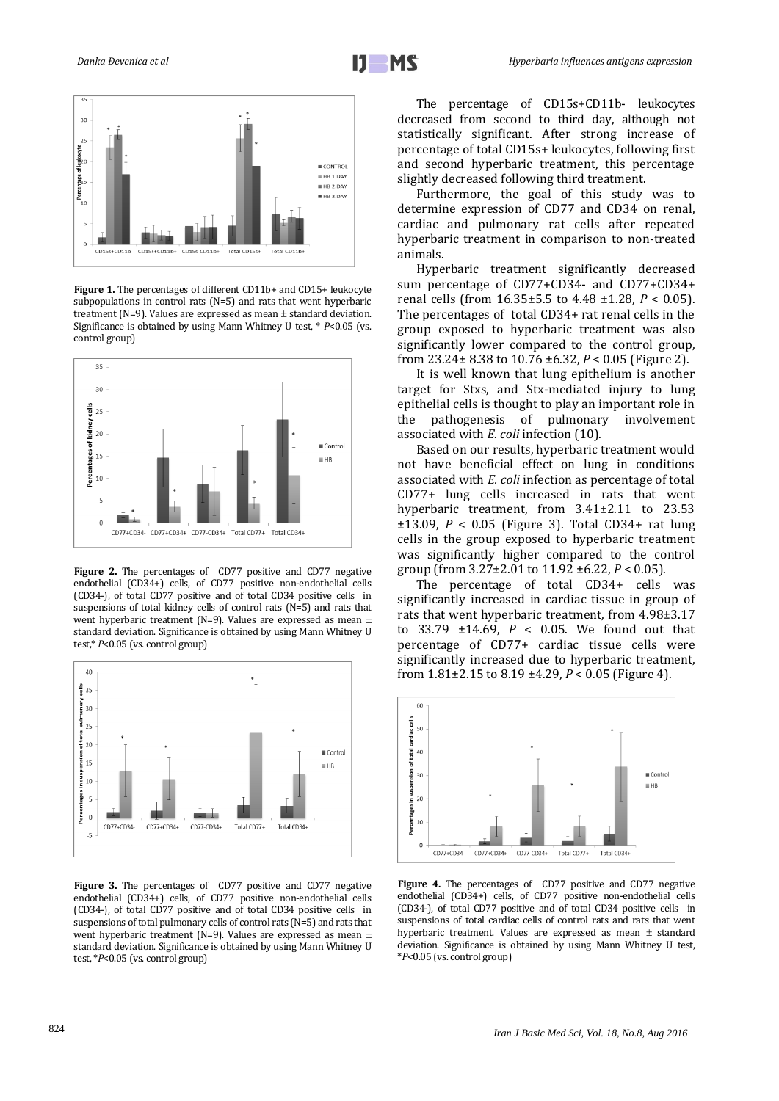

**Figure 1.** The percentages of different CD11b+ and CD15+ leukocyte subpopulations in control rats (N=5) and rats that went hyperbaric treatment (N=9). Values are expressed as mean  $\pm$  standard deviation. Significance is obtained by using Mann Whitney U test, \* *P*<0.05 (vs. control group)



Figure 2. The percentages of CD77 positive and CD77 negative endothelial (CD34+) cells, of CD77 positive non-endothelial cells (CD34-), of total CD77 positive and of total CD34 positive cells in suspensions of total kidney cells of control rats (N=5) and rats that went hyperbaric treatment (N=9). Values are expressed as mean  $\pm$ standard deviation. Significance is obtained by using Mann Whitney U test,\* *P*<0.05 (vs. control group)



Figure 3. The percentages of CD77 positive and CD77 negative endothelial (CD34+) cells, of CD77 positive non-endothelial cells (CD34-), of total CD77 positive and of total CD34 positive cells in suspensions of total pulmonary cells of control rats (N=5) and rats that went hyperbaric treatment (N=9). Values are expressed as mean  $\pm$ standard deviation. Significance is obtained by using Mann Whitney U test, \**P*<0.05 (vs. control group)

The percentage of CD15s+CD11b- leukocytes decreased from second to third day, although not statistically significant. After strong increase of percentage of total CD15s+ leukocytes, following first and second hyperbaric treatment, this percentage slightly decreased following third treatment.

Furthermore, the goal of this study was to determine expression of CD77 and CD34 on renal, cardiac and pulmonary rat cells after repeated hyperbaric treatment in comparison to non-treated animals.

Hyperbaric treatment significantly decreased sum percentage of CD77+CD34- and CD77+CD34+ renal cells (from 16.35±5.5 to 4.48 ±1.28, *P* < 0.05). The percentages of total CD34+ rat renal cells in the group exposed to hyperbaric treatment was also significantly lower compared to the control group, from 23.24± 8.38 to 10.76 ±6.32, *P* < 0.05 (Figure 2).

It is well known that lung epithelium is another target for Stxs, and Stx-mediated injury to lung epithelial cells is thought to play an important role in the pathogenesis of pulmonary involvement associated with *E. coli* infection (10).

Based on our results, hyperbaric treatment would not have beneficial effect on lung in conditions associated with *E. coli* infection as percentage of total CD77+ lung cells increased in rats that went hyperbaric treatment, from  $3.41\pm2.11$  to 23.53 ±13.09, *P* < 0.05 (Figure 3). Total CD34+ rat lung cells in the group exposed to hyperbaric treatment was significantly higher compared to the control group (from 3.27±2.01 to 11.92 ±6.22, *P* < 0.05).

The percentage of total CD34+ cells was significantly increased in cardiac tissue in group of rats that went hyperbaric treatment, from 4.98±3.17 to 33.79 ±14.69, *P* < 0.05. We found out that percentage of CD77+ cardiac tissue cells were significantly increased due to hyperbaric treatment, from 1.81±2.15 to 8.19 ±4.29, *P* < 0.05 (Figure 4).



Figure 4. The percentages of CD77 positive and CD77 negative endothelial (CD34+) cells, of CD77 positive non-endothelial cells (CD34-), of total CD77 positive and of total CD34 positive cells in suspensions of total cardiac cells of control rats and rats that went hyperbaric treatment. Values are expressed as mean  $\pm$  standard deviation. Significance is obtained by using Mann Whitney U test, \**P*<0.05 (vs. control group)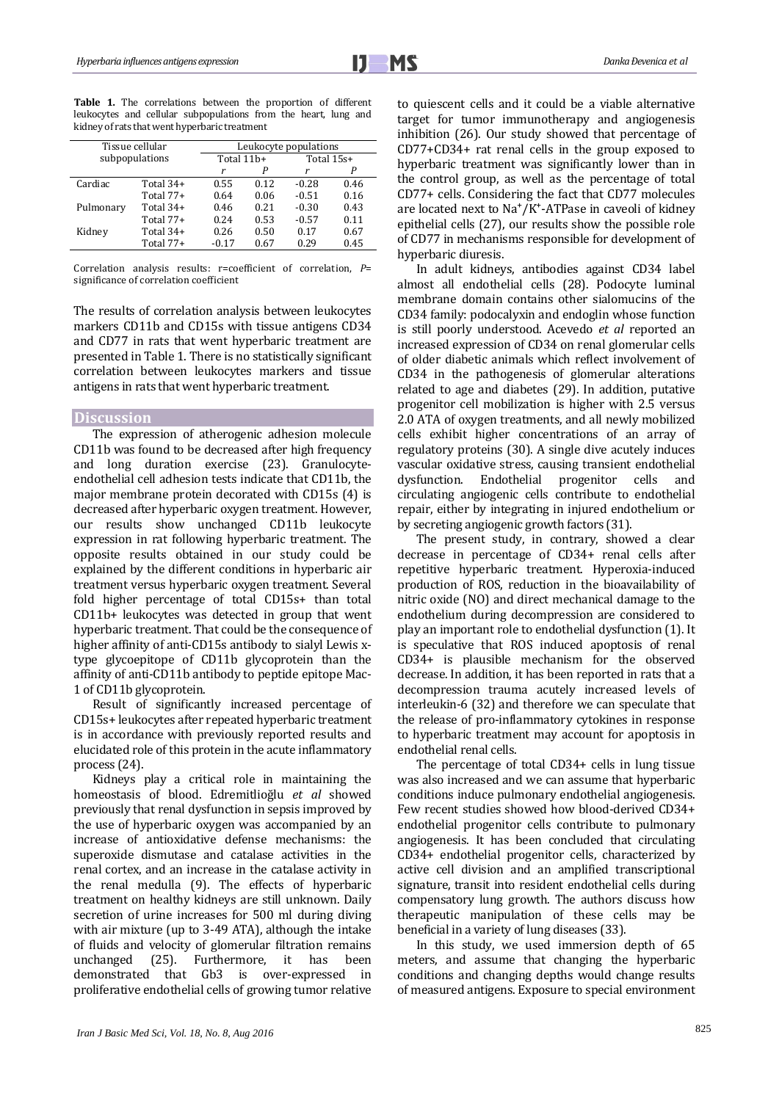**Table 1.** The correlations between the proportion of different leukocytes and cellular subpopulations from the heart, lung and kidney of rats that went hyperbaric treatment

| Tissue cellular |             | Leukocyte populations |      |            |      |
|-----------------|-------------|-----------------------|------|------------|------|
| subpopulations  |             | Total 11b+            |      | Total 15s+ |      |
|                 |             |                       | Р    | r          | Р    |
| Cardiac         | Total $34+$ | 0.55                  | 0.12 | $-0.28$    | 0.46 |
|                 | Total $77+$ | 0.64                  | 0.06 | $-0.51$    | 0.16 |
| Pulmonary       | Total $34+$ | 0.46                  | 0.21 | $-0.30$    | 0.43 |
|                 | Total $77+$ | 0.24                  | 0.53 | $-0.57$    | 0.11 |
| Kidney          | Total $34+$ | 0.26                  | 0.50 | 0.17       | 0.67 |
|                 | Total 77+   | $-0.17$               | 0.67 | 0.29       | 0.45 |

Correlation analysis results: r=coefficient of correlation, *P*= significance of correlation coefficient

The results of correlation analysis between leukocytes markers CD11b and CD15s with tissue antigens CD34 and CD77 in rats that went hyperbaric treatment are presented in Table 1. There is no statistically significant correlation between leukocytes markers and tissue antigens in rats that went hyperbaric treatment.

### **Discussion**

The expression of atherogenic adhesion molecule CD11b was found to be decreased after high frequency and long duration exercise [\(23\)](#page-6-19). Granulocyteendothelial cell adhesion tests indicate that CD11b, the major membrane protein decorated with CD15s [\(4\)](#page-6-0) is decreased after hyperbaric oxygen treatment. However, our results show unchanged CD11b leukocyte expression in rat following hyperbaric treatment. The opposite results obtained in our study could be explained by the different conditions in hyperbaric air treatment versus hyperbaric oxygen treatment. Several fold higher percentage of total CD15s+ than total CD11b+ leukocytes was detected in group that went hyperbaric treatment. That could be the consequence of higher affinity of anti-CD15s antibody to sialyl Lewis xtype glycoepitope of CD11b glycoprotein than the affinity of anti-CD11b antibody to peptide epitope Mac-1 of CD11b glycoprotein.

Result of significantly increased percentage of CD15s+ leukocytes after repeated hyperbaric treatment is in accordance with previously reported results and elucidated role of this protein in the acute inflammatory process [\(24\)](#page-6-20).

Kidneys play a critical role in maintaining the homeostasis of blood. Edremitlioğlu *et al* showed previously that renal dysfunction in sepsis improved by the use of hyperbaric oxygen was accompanied by an increase of antioxidative defense mechanisms: the superoxide dismutase and catalase activities in the renal cortex, and an increase in the catalase activity in the renal medulla [\(9\)](#page-6-5). The effects of hyperbaric treatment on healthy kidneys are still unknown. Daily secretion of urine increases for 500 ml during diving with air mixture (up to 3-49 ATA), although the intake of fluids and velocity of glomerular filtration remains unchanged [\(25\)](#page-6-21). Furthermore, it has been demonstrated that Gb3 is over-expressed in proliferative endothelial cells of growing tumor relative to quiescent cells and it could be a viable alternative target for tumor immunotherapy and angiogenesis inhibition [\(26\)](#page-6-22). Our study showed that percentage of CD77+CD34+ rat renal cells in the group exposed to hyperbaric treatment was significantly lower than in the control group, as well as the percentage of total CD77+ cells. Considering the fact that CD77 molecules are located next to  $Na^+/K^+$ -ATPase in caveoli of kidney epithelial cells [\(27\)](#page-6-23), our results show the possible role of CD77 in mechanisms responsible for development of hyperbaric diuresis.

In adult kidneys, antibodies against CD34 label almost all endothelial cells [\(28\)](#page-6-24). Podocyte luminal membrane domain contains other sialomucins of the CD34 family: podocalyxin and endoglin whose function is still poorly understood. Acevedo *et al* reported an increased expression of CD34 on renal glomerular cells of older diabetic animals which reflect involvement of CD34 in the pathogenesis of glomerular alterations related to age and diabetes [\(29\)](#page-6-25). In addition, putative progenitor cell mobilization is higher with 2.5 versus 2.0 ATA of oxygen treatments, and all newly mobilized cells exhibit higher concentrations of an array of regulatory proteins [\(30\)](#page-6-26). A single dive acutely induces vascular oxidative stress, causing transient endothelial dysfunction. Endothelial progenitor cells and circulating angiogenic cells contribute to endothelial repair, either by integrating in injured endothelium or by secreting angiogenic growth factors [\(31\)](#page-6-27).

The present study, in contrary, showed a clear decrease in percentage of CD34+ renal cells after repetitive hyperbaric treatment. Hyperoxia-induced production of ROS, reduction in the bioavailability of nitric oxide (NO) and direct mechanical damage to the endothelium during decompression are considered to play an important role to endothelial dysfunction [\(1\)](#page-5-0). It is speculative that ROS induced apoptosis of renal CD34+ is plausible mechanism for the observed decrease. In addition, it has been reported in rats that a decompression trauma acutely increased levels of interleukin-6 [\(32\)](#page-6-28) and therefore we can speculate that the release of pro-inflammatory cytokines in response to hyperbaric treatment may account for apoptosis in endothelial renal cells.

The percentage of total CD34+ cells in lung tissue was also increased and we can assume that hyperbaric conditions induce pulmonary endothelial angiogenesis. Few recent studies showed how blood-derived CD34+ endothelial progenitor cells contribute to pulmonary angiogenesis. It has been concluded that circulating CD34+ endothelial progenitor cells, characterized by active cell division and an amplified transcriptional signature, transit into resident endothelial cells during compensatory lung growth. The authors discuss how therapeutic manipulation of these cells may be beneficial in a variety of lung diseases [\(33\)](#page-6-29).

In this study, we used immersion depth of 65 meters, and assume that changing the hyperbaric conditions and changing depths would change results of measured antigens. Exposure to special environment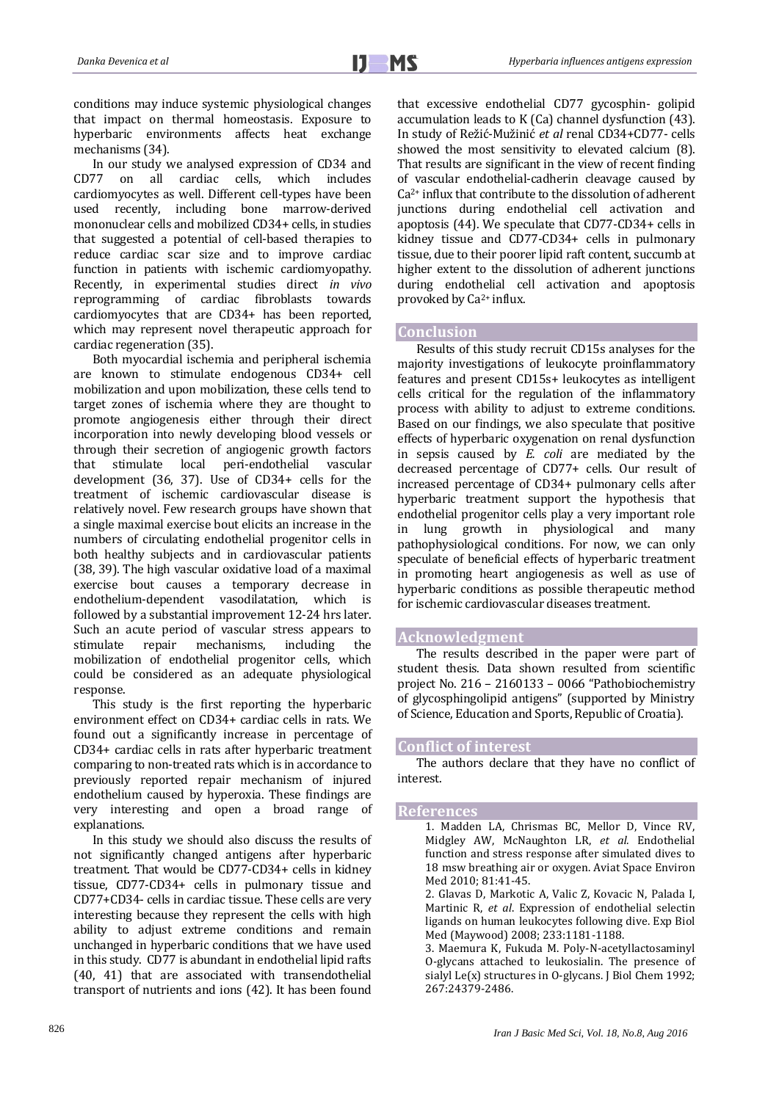conditions may induce systemic physiological changes that impact on thermal homeostasis. Exposure to hyperbaric environments affects heat exchange mechanisms [\(34\)](#page-6-30).

In our study we analysed expression of CD34 and CD77 on all cardiac cells, which includes cardiomyocytes as well. Different cell-types have been used recently, including bone marrow-derived mononuclear cells and mobilized CD34+ cells, in studies that suggested a potential of cell-based therapies to reduce cardiac scar size and to improve cardiac function in patients with ischemic cardiomyopathy. Recently, in experimental studies direct *in vivo* reprogramming of cardiac fibroblasts towards cardiomyocytes that are CD34+ has been reported, which may represent novel therapeutic approach for cardiac regeneration [\(35\)](#page-6-31).

Both myocardial ischemia and peripheral ischemia are known to stimulate endogenous CD34+ cell mobilization and upon mobilization, these cells tend to target zones of ischemia where they are thought to promote angiogenesis either through their direct incorporation into newly developing blood vessels or through their secretion of angiogenic growth factors<br>that stimulate local peri-endothelial vascular that stimulate local peri-endothelial development [\(36,](#page-6-32) [37\)](#page-7-0). Use of CD34+ cells for the treatment of ischemic cardiovascular disease is relatively novel. Few research groups have shown that a single maximal exercise bout elicits an increase in the numbers of circulating endothelial progenitor cells in both healthy subjects and in cardiovascular patients [\(38,](#page-7-1) [39\)](#page-7-2). The high vascular oxidative load of a maximal exercise bout causes a temporary decrease in endothelium-dependent vasodilatation, which is followed by a substantial improvement 12-24 hrs later. Such an acute period of vascular stress appears to stimulate repair mechanisms, including the mobilization of endothelial progenitor cells, which could be considered as an adequate physiological response.

This study is the first reporting the hyperbaric environment effect on CD34+ cardiac cells in rats. We found out a significantly increase in percentage of CD34+ cardiac cells in rats after hyperbaric treatment comparing to non-treated rats which is in accordance to previously reported repair mechanism of injured endothelium caused by hyperoxia. These findings are very interesting and open a broad range of explanations.

In this study we should also discuss the results of not significantly changed antigens after hyperbaric treatment. That would be CD77-CD34+ cells in kidney tissue, CD77-CD34+ cells in pulmonary tissue and CD77+CD34- cells in cardiac tissue. These cells are very interesting because they represent the cells with high ability to adjust extreme conditions and remain unchanged in hyperbaric conditions that we have used in this study. CD77 is abundant in endothelial lipid rafts [\(40,](#page-7-3) [41\)](#page-7-4) that are associated with transendothelial transport of nutrients and ions [\(42\)](#page-7-5). It has been found

that excessive endothelial CD77 gycosphin- golipid accumulation leads to K (Ca) channel dysfunction [\(43\)](#page-7-6). In study of Režić-Mužinić *et al* renal CD34+CD77- cells showed the most sensitivity to elevated calcium [\(8\)](#page-6-4). That results are significant in the view of recent finding of vascular endothelial-cadherin cleavage caused by Ca2+ influx that contribute to the dissolution of adherent junctions during endothelial cell activation and apoptosis [\(44\)](#page-7-7). We speculate that CD77-CD34+ cells in kidney tissue and CD77-CD34+ cells in pulmonary tissue, due to their poorer lipid raft content, succumb at higher extent to the dissolution of adherent junctions during endothelial cell activation and apoptosis provoked by Ca2+ influx.

## **Conclusion**

Results of this study recruit CD15s analyses for the majority investigations of leukocyte proinflammatory features and present CD15s+ leukocytes as intelligent cells critical for the regulation of the inflammatory process with ability to adjust to extreme conditions. Based on our findings, we also speculate that positive effects of hyperbaric oxygenation on renal dysfunction in sepsis caused by *E. coli* are mediated by the decreased percentage of CD77+ cells. Our result of increased percentage of CD34+ pulmonary cells after hyperbaric treatment support the hypothesis that endothelial progenitor cells play a very important role in lung growth in physiological and many pathophysiological conditions. For now, we can only speculate of beneficial effects of hyperbaric treatment in promoting heart angiogenesis as well as use of hyperbaric conditions as possible therapeutic method for ischemic cardiovascular diseases treatment.

## **Acknowledgment**

The results described in the paper were part of student thesis. Data shown resulted from scientific project No. 216 – 2160133 – 0066 "Pathobiochemistry of glycosphingolipid antigens" (supported by Ministry of Science, Education and Sports, Republic of Croatia).

## **Conflict of interest**

The authors declare that they have no conflict of interest.

### <span id="page-5-0"></span>**References**

- <span id="page-5-1"></span>1. Madden LA, Chrismas BC, Mellor D, Vince RV, Midgley AW, McNaughton LR, *et al.* Endothelial function and stress response after simulated dives to 18 msw breathing air or oxygen. Aviat Space Environ Med 2010; 81:41-45.
	- 2. Glavas D, Markotic A, Valic Z, Kovacic N, Palada I, Martinic R, *et al*. Expression of endothelial selectin ligands on human leukocytes following dive. Exp Biol Med (Maywood) 2008; 233:1181-1188.
	- 3. Maemura K, Fukuda M. Poly-N-acetyllactosaminyl O-glycans attached to leukosialin. The presence of sialyl Le(x) structures in O-glycans. J Biol Chem 1992; 267:24379-2486.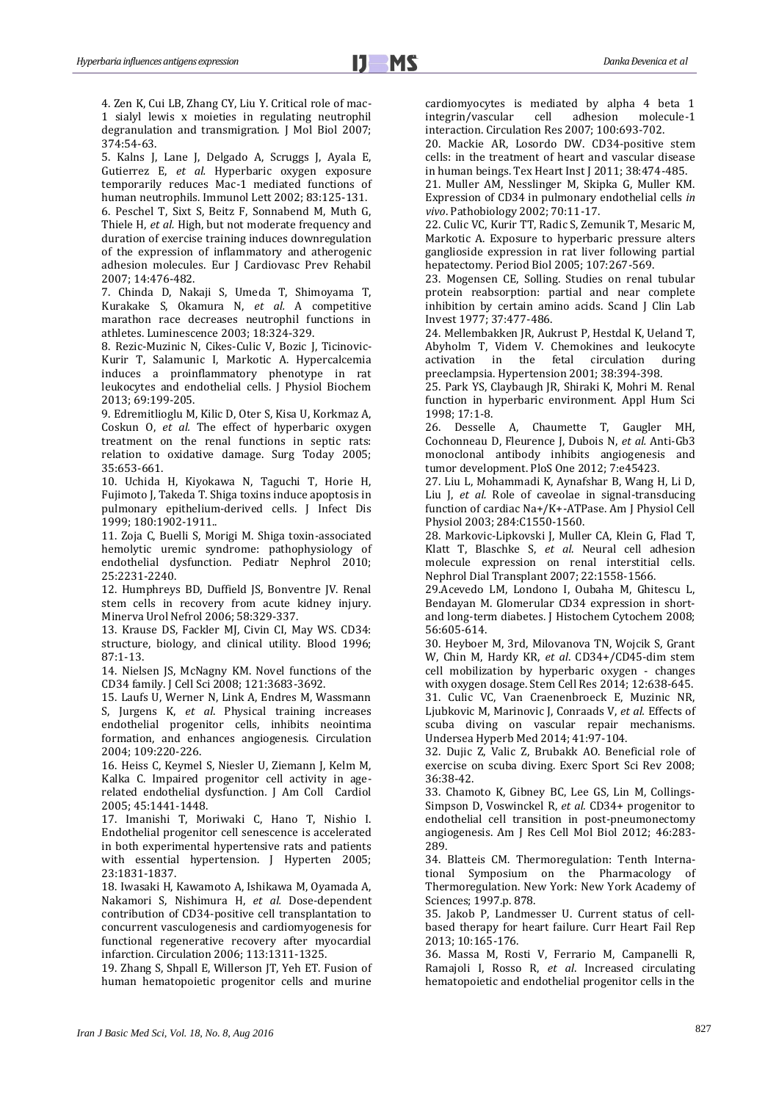<span id="page-6-0"></span>4. Zen K, Cui LB, Zhang CY, Liu Y. Critical role of mac-1 sialyl lewis x moieties in regulating neutrophil degranulation and transmigration. J Mol Biol 2007; 374:54-63.

<span id="page-6-2"></span><span id="page-6-1"></span>5. Kalns J, Lane J, Delgado A, Scruggs J, Ayala E, Gutierrez E, *et al.* Hyperbaric oxygen exposure temporarily reduces Mac-1 mediated functions of human neutrophils. Immunol Lett 2002; 83:125-131. 6. Peschel T, Sixt S, Beitz F, Sonnabend M, Muth G, Thiele H, *et al.* High, but not moderate frequency and duration of exercise training induces downregulation of the expression of inflammatory and atherogenic adhesion molecules. Eur J Cardiovasc Prev Rehabil 2007; 14:476-482.

<span id="page-6-3"></span>7. Chinda D, Nakaji S, Umeda T, Shimoyama T, Kurakake S, Okamura N, *et al.* A competitive marathon race decreases neutrophil functions in athletes. Luminescence 2003; 18:324-329.

<span id="page-6-4"></span>8. Rezic-Muzinic N, Cikes-Culic V, Bozic J, Ticinovic-Kurir T, Salamunic I, Markotic A. Hypercalcemia induces a proinflammatory phenotype in rat leukocytes and endothelial cells. J Physiol Biochem 2013; 69:199-205.

<span id="page-6-5"></span>9. Edremitlioglu M, Kilic D, Oter S, Kisa U, Korkmaz A, Coskun O, *et al.* The effect of hyperbaric oxygen treatment on the renal functions in septic rats: relation to oxidative damage. Surg Today 2005; 35:653-661.

<span id="page-6-6"></span>10. Uchida H, Kiyokawa N, Taguchi T, Horie H, Fujimoto J, Takeda T. Shiga toxins induce apoptosis in pulmonary epithelium-derived cells. J Infect Dis 1999; 180:1902-1911..

<span id="page-6-7"></span>11. Zoja C, Buelli S, Morigi M. Shiga toxin-associated hemolytic uremic syndrome: pathophysiology of endothelial dysfunction. Pediatr Nephrol 2010; 25:2231-2240.

<span id="page-6-8"></span>12. Humphreys BD, Duffield JS, Bonventre JV. Renal stem cells in recovery from acute kidney injury. Minerva Urol Nefrol 2006; 58:329-337.

<span id="page-6-9"></span>13. Krause DS, Fackler MJ, Civin CI, May WS. CD34: structure, biology, and clinical utility. Blood 1996; 87:1-13.

<span id="page-6-10"></span>14. Nielsen JS, McNagny KM. Novel functions of the CD34 family. J Cell Sci 2008; 121:3683-3692.

<span id="page-6-11"></span>15. Laufs U, Werner N, Link A, Endres M, Wassmann S, Jurgens K, *et al*. Physical training increases endothelial progenitor cells, inhibits neointima formation, and enhances angiogenesis. Circulation 2004; 109:220-226.

<span id="page-6-12"></span>16. Heiss C, Keymel S, Niesler U, Ziemann J, Kelm M, Kalka C. Impaired progenitor cell activity in agerelated endothelial dysfunction*.* J Am Coll Cardiol 2005; 45:1441-1448.

<span id="page-6-13"></span>17. Imanishi T, Moriwaki C, Hano T, Nishio I. Endothelial progenitor cell senescence is accelerated in both experimental hypertensive rats and patients with essential hypertension. J Hyperten 2005; 23:1831-1837.

<span id="page-6-14"></span>18. Iwasaki H, Kawamoto A, Ishikawa M, Oyamada A, Nakamori S, Nishimura H, *et al.* Dose-dependent contribution of CD34-positive cell transplantation to concurrent vasculogenesis and cardiomyogenesis for functional regenerative recovery after myocardial infarction. Circulation 2006; 113:1311-1325.

<span id="page-6-15"></span>19. Zhang S, Shpall E, Willerson JT, Yeh ET. Fusion of human hematopoietic progenitor cells and murine cardiomyocytes is mediated by alpha 4 beta 1 integrin/vascular cell adhesion molecule-1 interaction. Circulation Res 2007; 100:693-702.

<span id="page-6-16"></span>20. Mackie AR, Losordo DW. CD34-positive stem cells: in the treatment of heart and vascular disease in human beings. Tex Heart Inst J 2011; 38:474-485.

<span id="page-6-17"></span>21. Muller AM, Nesslinger M, Skipka G, Muller KM. Expression of CD34 in pulmonary endothelial cells *in vivo*. Pathobiology 2002; 70:11-17.

<span id="page-6-18"></span>22. Culic VC, Kurir TT, Radic S, Zemunik T, Mesaric M, Markotic A. Exposure to hyperbaric pressure alters ganglioside expression in rat liver following partial hepatectomy. Period Biol 2005; 107:267-569.

<span id="page-6-19"></span>23. Mogensen CE, Solling. Studies on renal tubular protein reabsorption: partial and near complete inhibition by certain amino acids. Scand J Clin Lab Invest 1977; 37:477-486.

<span id="page-6-20"></span>24. Mellembakken JR, Aukrust P, Hestdal K, Ueland T, Abyholm T, Videm V. Chemokines and leukocyte activation in the fetal circulation during activation in the fetal circulation during preeclampsia. Hypertension 2001; 38:394-398.

<span id="page-6-21"></span>25. Park YS, Claybaugh JR, Shiraki K, Mohri M. Renal function in hyperbaric environment. Appl Hum Sci 1998; 17:1-8.

<span id="page-6-22"></span>26. Desselle A, Chaumette T, Gaugler MH, Cochonneau D, Fleurence J, Dubois N, *et al.* Anti-Gb3 monoclonal antibody inhibits angiogenesis and tumor development. PloS One 2012; 7:e45423.

<span id="page-6-23"></span>27. Liu L, Mohammadi K, Aynafshar B, Wang H, Li D, Liu J, *et al.* Role of caveolae in signal-transducing function of cardiac Na+/K+-ATPase. Am J Physiol Cell Physiol 2003; 284:C1550-1560.

<span id="page-6-24"></span>28. Markovic-Lipkovski J, Muller CA, Klein G, Flad T, Klatt T, Blaschke S, *et al*. Neural cell adhesion molecule expression on renal interstitial cells. Nephrol Dial Transplant 2007; 22:1558-1566.

<span id="page-6-25"></span>29.Acevedo LM, Londono I, Oubaha M, Ghitescu L, Bendayan M. Glomerular CD34 expression in shortand long-term diabetes. J Histochem Cytochem 2008; 56:605-614.

<span id="page-6-26"></span>30. Heyboer M, 3rd, Milovanova TN, Wojcik S, Grant W, Chin M, Hardy KR, *et al*. CD34+/CD45-dim stem cell mobilization by hyperbaric oxygen - changes with oxygen dosage. Stem Cell Res 2014; 12:638-645. 31. Culic VC, Van Craenenbroeck E, Muzinic NR, Ljubkovic M, Marinovic J, Conraads V, *et al.* Effects of scuba diving on vascular repair mechanisms. Undersea Hyperb Med 2014; 41:97-104.

<span id="page-6-28"></span><span id="page-6-27"></span>32. Dujic Z, Valic Z, Brubakk AO. Beneficial role of exercise on scuba diving. Exerc Sport Sci Rev 2008; 36:38-42.

<span id="page-6-29"></span>33. Chamoto K, Gibney BC, Lee GS, Lin M, Collings-Simpson D, Voswinckel R, *et al.* CD34+ progenitor to endothelial cell transition in post-pneumonectomy angiogenesis. Am J Res Cell Mol Biol 2012; 46:283- 289.

<span id="page-6-30"></span>34. Blatteis CM. Thermoregulation: Tenth International Symposium on the Pharmacology of Thermoregulation. New York: New York Academy of Sciences; 1997.p. 878.

<span id="page-6-31"></span>35. Jakob P, Landmesser U. Current status of cellbased therapy for heart failure. Curr Heart Fail Rep 2013; 10:165-176.

<span id="page-6-32"></span>36. Massa M, Rosti V, Ferrario M, Campanelli R, Ramajoli I, Rosso R, *et al*. Increased circulating hematopoietic and endothelial progenitor cells in the